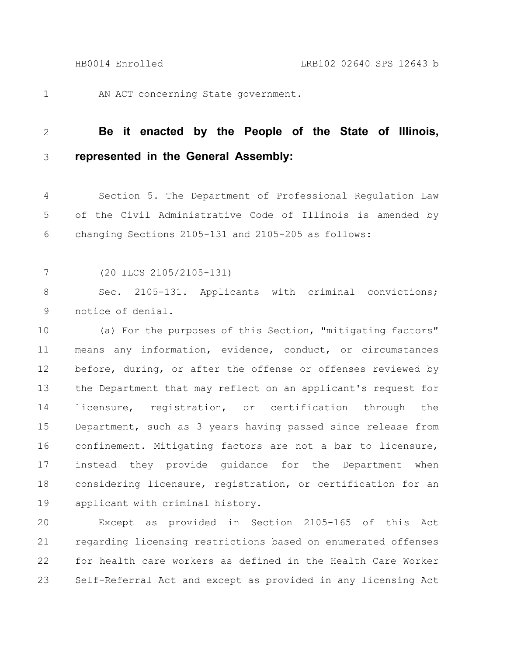1

AN ACT concerning State government.

## **Be it enacted by the People of the State of Illinois, represented in the General Assembly:** 2 3

Section 5. The Department of Professional Regulation Law of the Civil Administrative Code of Illinois is amended by changing Sections 2105-131 and 2105-205 as follows: 4 5 6

(20 ILCS 2105/2105-131) 7

Sec. 2105-131. Applicants with criminal convictions; notice of denial. 8 9

(a) For the purposes of this Section, "mitigating factors" means any information, evidence, conduct, or circumstances before, during, or after the offense or offenses reviewed by the Department that may reflect on an applicant's request for licensure, registration, or certification through the Department, such as 3 years having passed since release from confinement. Mitigating factors are not a bar to licensure, instead they provide guidance for the Department when considering licensure, registration, or certification for an applicant with criminal history. 10 11 12 13 14 15 16 17 18 19

Except as provided in Section 2105-165 of this Act regarding licensing restrictions based on enumerated offenses for health care workers as defined in the Health Care Worker Self-Referral Act and except as provided in any licensing Act 20 21 22 23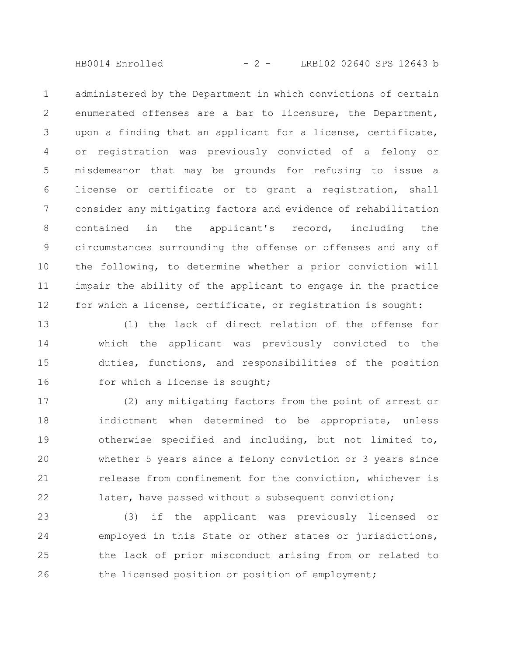HB0014 Enrolled - 2 - LRB102 02640 SPS 12643 b

administered by the Department in which convictions of certain enumerated offenses are a bar to licensure, the Department, upon a finding that an applicant for a license, certificate, or registration was previously convicted of a felony or misdemeanor that may be grounds for refusing to issue a license or certificate or to grant a registration, shall consider any mitigating factors and evidence of rehabilitation contained in the applicant's record, including the circumstances surrounding the offense or offenses and any of the following, to determine whether a prior conviction will impair the ability of the applicant to engage in the practice for which a license, certificate, or registration is sought: 1 2 3 4 5 6 7 8 9 10 11 12

(1) the lack of direct relation of the offense for which the applicant was previously convicted to the duties, functions, and responsibilities of the position for which a license is sought; 13 14 15 16

(2) any mitigating factors from the point of arrest or indictment when determined to be appropriate, unless otherwise specified and including, but not limited to, whether 5 years since a felony conviction or 3 years since release from confinement for the conviction, whichever is later, have passed without a subsequent conviction; 17 18 19 20 21 22

(3) if the applicant was previously licensed or employed in this State or other states or jurisdictions, the lack of prior misconduct arising from or related to the licensed position or position of employment; 23 24 25 26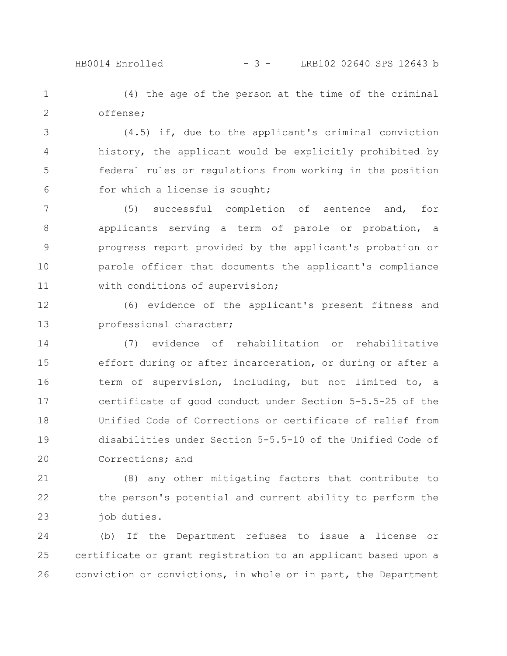## HB0014 Enrolled - 3 - LRB102 02640 SPS 12643 b

(4) the age of the person at the time of the criminal offense; 1 2

(4.5) if, due to the applicant's criminal conviction history, the applicant would be explicitly prohibited by federal rules or regulations from working in the position for which a license is sought; 3 4 5 6

(5) successful completion of sentence and, for applicants serving a term of parole or probation, a progress report provided by the applicant's probation or parole officer that documents the applicant's compliance with conditions of supervision; 7 8 9 10 11

(6) evidence of the applicant's present fitness and professional character; 12 13

(7) evidence of rehabilitation or rehabilitative effort during or after incarceration, or during or after a term of supervision, including, but not limited to, a certificate of good conduct under Section 5-5.5-25 of the Unified Code of Corrections or certificate of relief from disabilities under Section 5-5.5-10 of the Unified Code of Corrections; and 14 15 16 17 18 19 20

(8) any other mitigating factors that contribute to the person's potential and current ability to perform the job duties. 21 22 23

(b) If the Department refuses to issue a license or certificate or grant registration to an applicant based upon a conviction or convictions, in whole or in part, the Department 24 25 26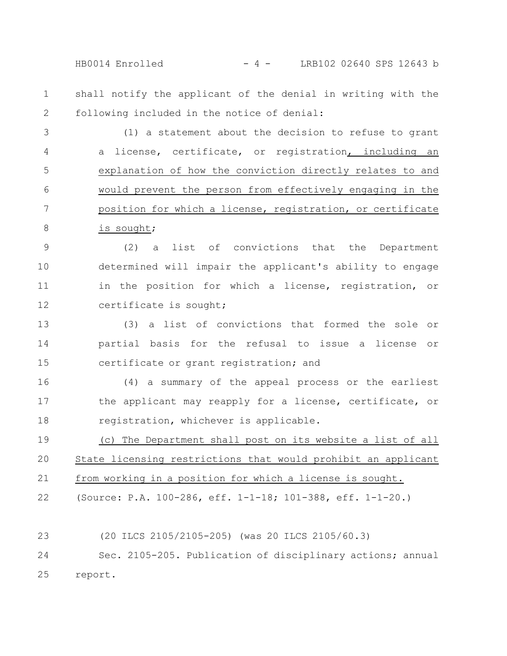HB0014 Enrolled - 4 - LRB102 02640 SPS 12643 b

shall notify the applicant of the denial in writing with the following included in the notice of denial: 1 2

(1) a statement about the decision to refuse to grant a license, certificate, or registration, including an explanation of how the conviction directly relates to and would prevent the person from effectively engaging in the position for which a license, registration, or certificate is sought; 3 4 5 6 7 8

(2) a list of convictions that the Department determined will impair the applicant's ability to engage in the position for which a license, registration, or certificate is sought; 9 10 11 12

(3) a list of convictions that formed the sole or partial basis for the refusal to issue a license or certificate or grant registration; and 13 14 15

(4) a summary of the appeal process or the earliest the applicant may reapply for a license, certificate, or registration, whichever is applicable. 16 17 18

(c) The Department shall post on its website a list of all State licensing restrictions that would prohibit an applicant from working in a position for which a license is sought. 19 20 21

(Source: P.A. 100-286, eff. 1-1-18; 101-388, eff. 1-1-20.) 22

(20 ILCS 2105/2105-205) (was 20 ILCS 2105/60.3) 23

Sec. 2105-205. Publication of disciplinary actions; annual report. 24 25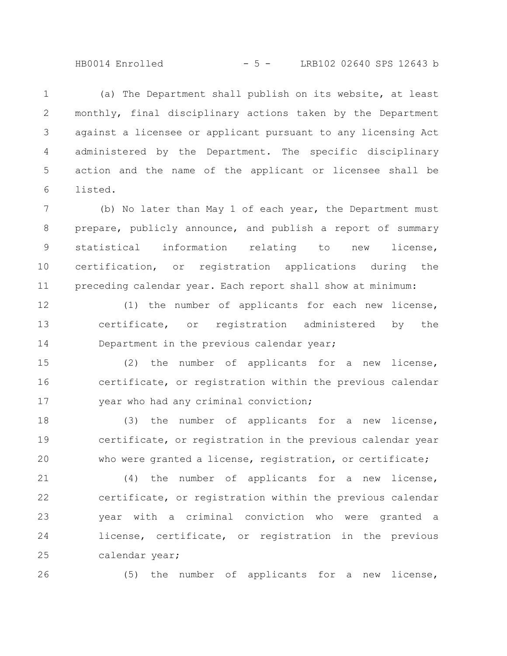HB0014 Enrolled - 5 - LRB102 02640 SPS 12643 b

(a) The Department shall publish on its website, at least monthly, final disciplinary actions taken by the Department against a licensee or applicant pursuant to any licensing Act administered by the Department. The specific disciplinary action and the name of the applicant or licensee shall be listed. 1 2 3 4 5 6

(b) No later than May 1 of each year, the Department must prepare, publicly announce, and publish a report of summary statistical information relating to new license, certification, or registration applications during the preceding calendar year. Each report shall show at minimum: 7 8 9 10 11

(1) the number of applicants for each new license, certificate, or registration administered by the Department in the previous calendar year; 12 13 14

(2) the number of applicants for a new license, certificate, or registration within the previous calendar year who had any criminal conviction; 15 16 17

(3) the number of applicants for a new license, certificate, or registration in the previous calendar year who were granted a license, registration, or certificate; 18 19 20

(4) the number of applicants for a new license, certificate, or registration within the previous calendar year with a criminal conviction who were granted a license, certificate, or registration in the previous calendar year; 21 22 23 24 25

26

(5) the number of applicants for a new license,